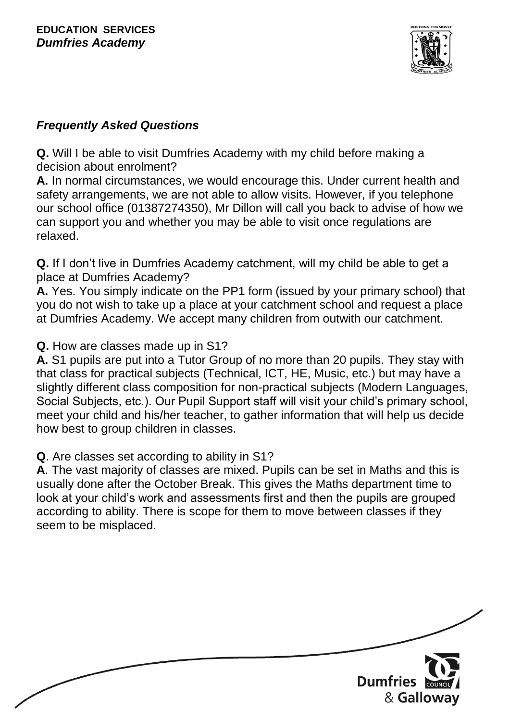

### *Frequently Asked Questions*

**Q.** Will I be able to visit Dumfries Academy with my child before making a decision about enrolment?

**A.** In normal circumstances, we would encourage this. Under current health and safety arrangements, we are not able to allow visits. However, if you telephone our school office (01387274350), Mr Dillon will call you back to advise of how we can support you and whether you may be able to visit once regulations are relaxed.

**Q.** If I don't live in Dumfries Academy catchment, will my child be able to get a place at Dumfries Academy?

**A.** Yes. You simply indicate on the PP1 form (issued by your primary school) that you do not wish to take up a place at your catchment school and request a place at Dumfries Academy. We accept many children from outwith our catchment.

**Q.** How are classes made up in S1?

**A.** S1 pupils are put into a Tutor Group of no more than 20 pupils. They stay with that class for practical subjects (Technical, ICT, HE, Music, etc.) but may have a slightly different class composition for non-practical subjects (Modern Languages, Social Subjects, etc.). Our Pupil Support staff will visit your child's primary school, meet your child and his/her teacher, to gather information that will help us decide how best to group children in classes.

**Q**. Are classes set according to ability in S1?

**A**. The vast majority of classes are mixed. Pupils can be set in Maths and this is usually done after the October Break. This gives the Maths department time to look at your child's work and assessments first and then the pupils are grouped according to ability. There is scope for them to move between classes if they seem to be misplaced.

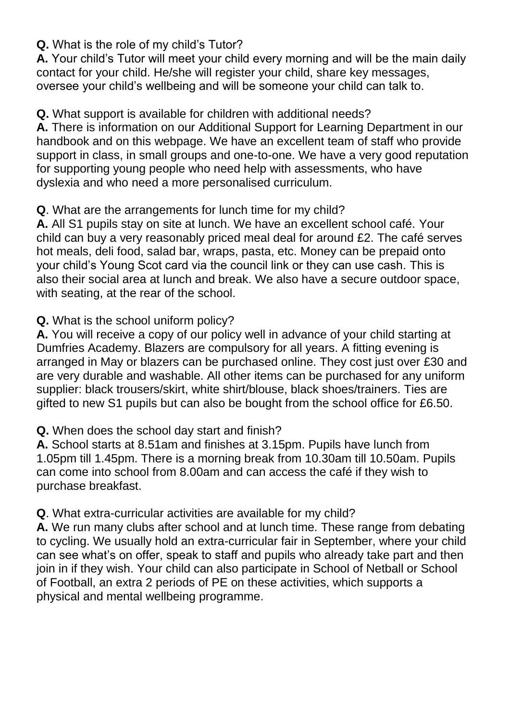#### **Q.** What is the role of my child's Tutor?

**A.** Your child's Tutor will meet your child every morning and will be the main daily contact for your child. He/she will register your child, share key messages, oversee your child's wellbeing and will be someone your child can talk to.

**Q.** What support is available for children with additional needs?

**A.** There is information on our Additional Support for Learning Department in our handbook and on this webpage. We have an excellent team of staff who provide support in class, in small groups and one-to-one. We have a very good reputation for supporting young people who need help with assessments, who have dyslexia and who need a more personalised curriculum.

#### **Q**. What are the arrangements for lunch time for my child?

**A.** All S1 pupils stay on site at lunch. We have an excellent school café. Your child can buy a very reasonably priced meal deal for around £2. The café serves hot meals, deli food, salad bar, wraps, pasta, etc. Money can be prepaid onto your child's Young Scot card via the council link or they can use cash. This is also their social area at lunch and break. We also have a secure outdoor space, with seating, at the rear of the school.

**Q.** What is the school uniform policy?

**A.** You will receive a copy of our policy well in advance of your child starting at Dumfries Academy. Blazers are compulsory for all years. A fitting evening is arranged in May or blazers can be purchased online. They cost just over £30 and are very durable and washable. All other items can be purchased for any uniform supplier: black trousers/skirt, white shirt/blouse, black shoes/trainers. Ties are gifted to new S1 pupils but can also be bought from the school office for £6.50.

#### **Q.** When does the school day start and finish?

**A.** School starts at 8.51am and finishes at 3.15pm. Pupils have lunch from 1.05pm till 1.45pm. There is a morning break from 10.30am till 10.50am. Pupils can come into school from 8.00am and can access the café if they wish to purchase breakfast.

#### **Q**. What extra-curricular activities are available for my child?

**A.** We run many clubs after school and at lunch time. These range from debating to cycling. We usually hold an extra-curricular fair in September, where your child can see what's on offer, speak to staff and pupils who already take part and then join in if they wish. Your child can also participate in School of Netball or School of Football, an extra 2 periods of PE on these activities, which supports a physical and mental wellbeing programme.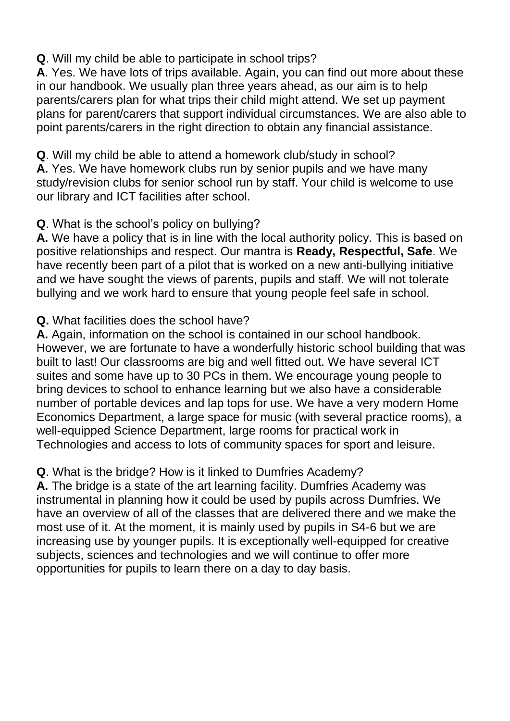**Q**. Will my child be able to participate in school trips?

**A**. Yes. We have lots of trips available. Again, you can find out more about these in our handbook. We usually plan three years ahead, as our aim is to help parents/carers plan for what trips their child might attend. We set up payment plans for parent/carers that support individual circumstances. We are also able to point parents/carers in the right direction to obtain any financial assistance.

**Q**. Will my child be able to attend a homework club/study in school? **A.** Yes. We have homework clubs run by senior pupils and we have many study/revision clubs for senior school run by staff. Your child is welcome to use our library and ICT facilities after school.

# **Q**. What is the school's policy on bullying?

**A.** We have a policy that is in line with the local authority policy. This is based on positive relationships and respect. Our mantra is **Ready, Respectful, Safe**. We have recently been part of a pilot that is worked on a new anti-bullying initiative and we have sought the views of parents, pupils and staff. We will not tolerate bullying and we work hard to ensure that young people feel safe in school.

## **Q.** What facilities does the school have?

**A.** Again, information on the school is contained in our school handbook. However, we are fortunate to have a wonderfully historic school building that was built to last! Our classrooms are big and well fitted out. We have several ICT suites and some have up to 30 PCs in them. We encourage young people to bring devices to school to enhance learning but we also have a considerable number of portable devices and lap tops for use. We have a very modern Home Economics Department, a large space for music (with several practice rooms), a well-equipped Science Department, large rooms for practical work in Technologies and access to lots of community spaces for sport and leisure.

**Q**. What is the bridge? How is it linked to Dumfries Academy?

**A.** The bridge is a state of the art learning facility. Dumfries Academy was instrumental in planning how it could be used by pupils across Dumfries. We have an overview of all of the classes that are delivered there and we make the most use of it. At the moment, it is mainly used by pupils in S4-6 but we are increasing use by younger pupils. It is exceptionally well-equipped for creative subjects, sciences and technologies and we will continue to offer more opportunities for pupils to learn there on a day to day basis.